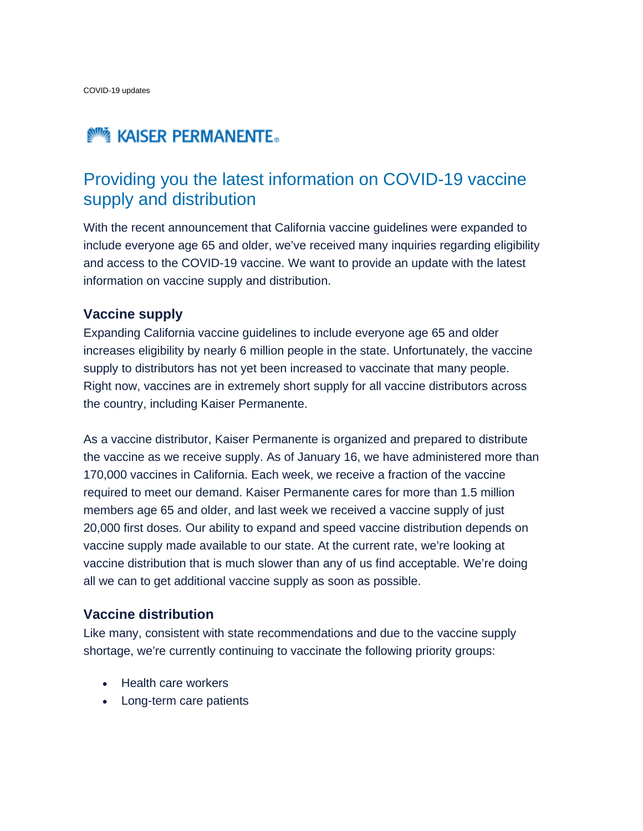# **NOW KAISER PERMANENTE.**

## Providing you the latest information on COVID-19 vaccine supply and distribution

With the recent announcement that California vaccine guidelines were expanded to include everyone age 65 and older, we've received many inquiries regarding eligibility and access to the COVID-19 vaccine. We want to provide an update with the latest information on vaccine supply and distribution.

#### **Vaccine supply**

Expanding California vaccine guidelines to include everyone age 65 and older increases eligibility by nearly 6 million people in the state. Unfortunately, the vaccine supply to distributors has not yet been increased to vaccinate that many people. Right now, vaccines are in extremely short supply for all vaccine distributors across the country, including Kaiser Permanente.

As a vaccine distributor, Kaiser Permanente is organized and prepared to distribute the vaccine as we receive supply. As of January 16, we have administered more than 170,000 vaccines in California. Each week, we receive a fraction of the vaccine required to meet our demand. Kaiser Permanente cares for more than 1.5 million members age 65 and older, and last week we received a vaccine supply of just 20,000 first doses. Our ability to expand and speed vaccine distribution depends on vaccine supply made available to our state. At the current rate, we're looking at vaccine distribution that is much slower than any of us find acceptable. We're doing all we can to get additional vaccine supply as soon as possible.

#### **Vaccine distribution**

Like many, consistent with state recommendations and due to the vaccine supply shortage, we're currently continuing to vaccinate the following priority groups:

- Health care workers
- Long-term care patients